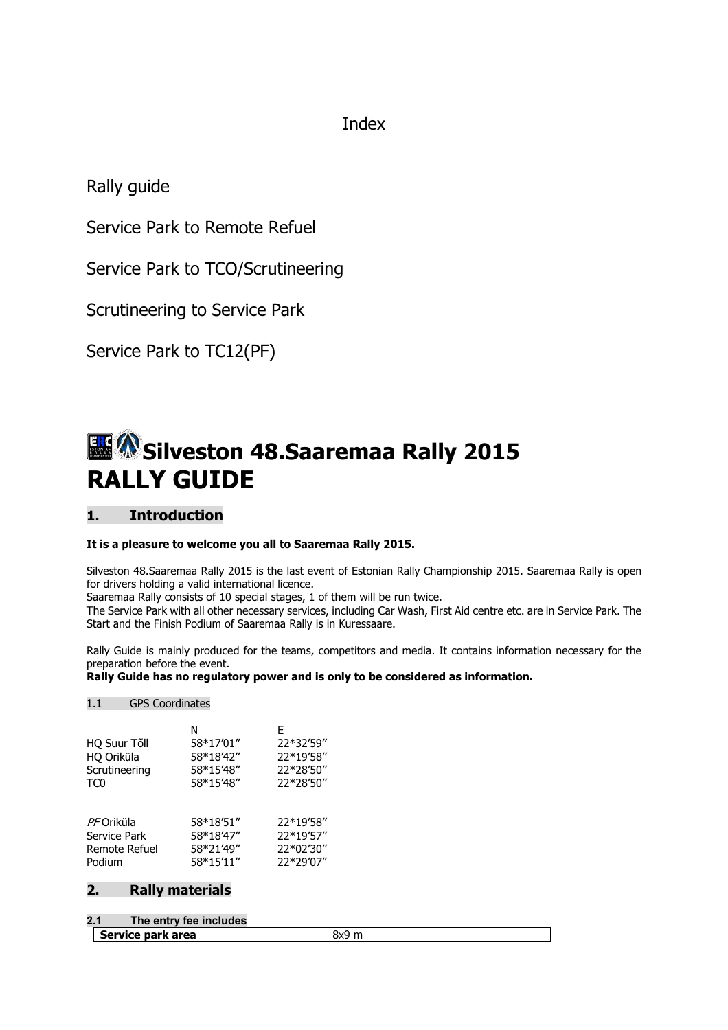Index

Rally guide

Service Park to Remote Refuel

Service Park to TCO/Scrutineering

Scrutineering to Service Park

Service Park to TC12(PF)

# Silveston 48.Saaremaa Rally 2015 RALLY GUIDE

## 1. Introduction

## It is a pleasure to welcome you all to Saaremaa Rally 2015.

Silveston 48.Saaremaa Rally 2015 is the last event of Estonian Rally Championship 2015. Saaremaa Rally is open for drivers holding a valid international licence.

Saaremaa Rally consists of 10 special stages, 1 of them will be run twice.

The Service Park with all other necessary services, including Car Wash, First Aid centre etc. are in Service Park. The Start and the Finish Podium of Saaremaa Rally is in Kuressaare.

Rally Guide is mainly produced for the teams, competitors and media. It contains information necessary for the preparation before the event.

Rally Guide has no regulatory power and is only to be considered as information.

## 1.1 GPS Coordinates

| HQ Suur Tõll<br>HQ Oriküla<br>Scrutineering<br>TC0 | N<br>58*17'01"<br>58*18'42"<br>58*15'48"<br>58*15'48" | F<br>22*32'59"<br>22*19'58"<br>22*28'50"<br>22*28'50" |
|----------------------------------------------------|-------------------------------------------------------|-------------------------------------------------------|
| <i>PF</i> Oriküla                                  | 58*18'51"                                             | 22*19'58"                                             |
| Service Park                                       | 58*18'47"                                             | 22*19'57"                                             |
| Remote Refuel                                      | 58*21'49"                                             | 22*02'30"                                             |
| Podium                                             | 58*15'11"                                             | 22*29'07"                                             |

## 2. Rally materials

## 2.1 The entry fee includes

Service park area 8x9 m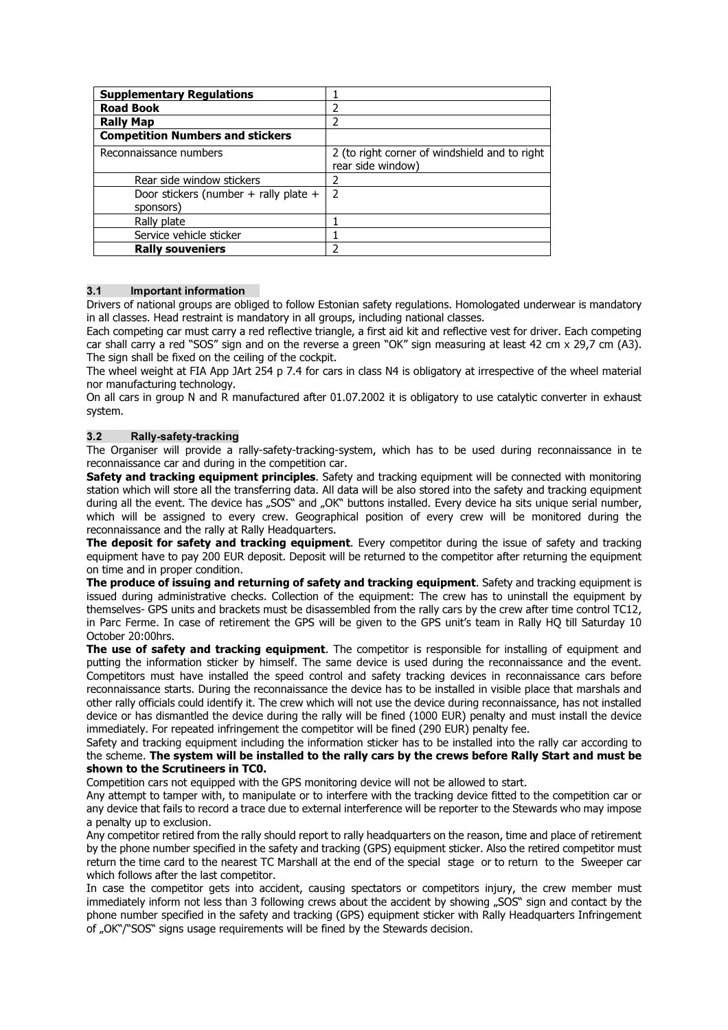| <b>Supplementary Regulations</b>                   |                                                                    |
|----------------------------------------------------|--------------------------------------------------------------------|
| <b>Road Book</b>                                   |                                                                    |
| <b>Rally Map</b>                                   |                                                                    |
| <b>Competition Numbers and stickers</b>            |                                                                    |
| Reconnaissance numbers                             | 2 (to right corner of windshield and to right<br>rear side window) |
| Rear side window stickers                          |                                                                    |
| Door stickers (number + rally plate +<br>sponsors) | $\mathcal{P}$                                                      |
| Rally plate                                        |                                                                    |
| Service vehicle sticker                            |                                                                    |
| <b>Rally souveniers</b>                            |                                                                    |

## 3.1 Important information

Drivers of national groups are obliged to follow Estonian safety regulations. Homologated underwear is mandatory in all classes. Head restraint is mandatory in all groups, including national classes.

Each competing car must carry a red reflective triangle, a first aid kit and reflective vest for driver. Each competing car shall carry a red "SOS" sign and on the reverse a green "OK" sign measuring at least 42 cm x 29,7 cm (A3). The sign shall be fixed on the ceiling of the cockpit.

The wheel weight at FIA App JArt 254 p 7.4 for cars in class N4 is obligatory at irrespective of the wheel material nor manufacturing technology.

On all cars in group N and R manufactured after 01.07.2002 it is obligatory to use catalytic converter in exhaust system.

## 3.2 Rally-safety-tracking

The Organiser will provide a rally-safety-tracking-system, which has to be used during reconnaissance in te reconnaissance car and during in the competition car.

Safety and tracking equipment principles. Safety and tracking equipment will be connected with monitoring station which will store all the transferring data. All data will be also stored into the safety and tracking equipment during all the event. The device has "SOS" and "OK" buttons installed. Every device ha sits unique serial number, which will be assigned to every crew. Geographical position of every crew will be monitored during the reconnaissance and the rally at Rally Headquarters.

The deposit for safety and tracking equipment. Every competitor during the issue of safety and tracking equipment have to pay 200 EUR deposit. Deposit will be returned to the competitor after returning the equipment on time and in proper condition.

The produce of issuing and returning of safety and tracking equipment. Safety and tracking equipment is issued during administrative checks. Collection of the equipment: The crew has to uninstall the equipment by themselves- GPS units and brackets must be disassembled from the rally cars by the crew after time control TC12, in Parc Ferme. In case of retirement the GPS will be given to the GPS unit's team in Rally HQ till Saturday 10 October 20:00hrs.

The use of safety and tracking equipment. The competitor is responsible for installing of equipment and putting the information sticker by himself. The same device is used during the reconnaissance and the event. Competitors must have installed the speed control and safety tracking devices in reconnaissance cars before reconnaissance starts. During the reconnaissance the device has to be installed in visible place that marshals and other rally officials could identify it. The crew which will not use the device during reconnaissance, has not installed device or has dismantled the device during the rally will be fined (1000 EUR) penalty and must install the device immediately. For repeated infringement the competitor will be fined (290 EUR) penalty fee.

## Safety and tracking equipment including the information sticker has to be installed into the rally car according to the scheme. The system will be installed to the rally cars by the crews before Rally Start and must be shown to the Scrutineers in TC0.

Competition cars not equipped with the GPS monitoring device will not be allowed to start.

Any attempt to tamper with, to manipulate or to interfere with the tracking device fitted to the competition car or any device that fails to record a trace due to external interference will be reporter to the Stewards who may impose a penalty up to exclusion.

Any competitor retired from the rally should report to rally headquarters on the reason, time and place of retirement by the phone number specified in the safety and tracking (GPS) equipment sticker. Also the retired competitor must return the time card to the nearest TC Marshall at the end of the special stage or to return to the Sweeper car which follows after the last competitor.

In case the competitor gets into accident, causing spectators or competitors injury, the crew member must immediately inform not less than 3 following crews about the accident by showing "SOS" sign and contact by the phone number specified in the safety and tracking (GPS) equipment sticker with Rally Headquarters Infringement of "OK"/"SOS" signs usage requirements will be fined by the Stewards decision.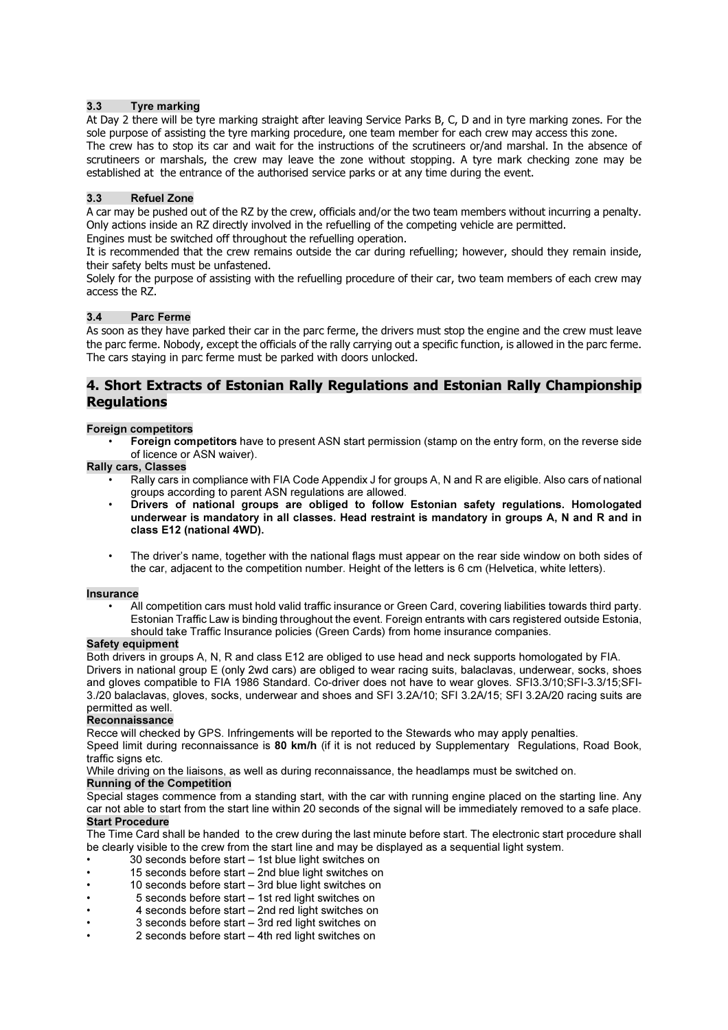## 3.3 Tyre marking

At Day 2 there will be tyre marking straight after leaving Service Parks B, C, D and in tyre marking zones. For the sole purpose of assisting the tyre marking procedure, one team member for each crew may access this zone. The crew has to stop its car and wait for the instructions of the scrutineers or/and marshal. In the absence of scrutineers or marshals, the crew may leave the zone without stopping. A tyre mark checking zone may be established at the entrance of the authorised service parks or at any time during the event.

## 3.3 Refuel Zone

A car may be pushed out of the RZ by the crew, officials and/or the two team members without incurring a penalty. Only actions inside an RZ directly involved in the refuelling of the competing vehicle are permitted.

Engines must be switched off throughout the refuelling operation.

It is recommended that the crew remains outside the car during refuelling; however, should they remain inside, their safety belts must be unfastened.

Solely for the purpose of assisting with the refuelling procedure of their car, two team members of each crew may access the RZ.

## 3.4 Parc Ferme

As soon as they have parked their car in the parc ferme, the drivers must stop the engine and the crew must leave the parc ferme. Nobody, except the officials of the rally carrying out a specific function, is allowed in the parc ferme. The cars staying in parc ferme must be parked with doors unlocked.

## 4. Short Extracts of Estonian Rally Regulations and Estonian Rally Championship **Regulations**

### Foreign competitors

• Foreign competitors have to present ASN start permission (stamp on the entry form, on the reverse side of licence or ASN waiver).

Rally cars, Classes

- Rally cars in compliance with FIA Code Appendix J for groups A, N and R are eligible. Also cars of national groups according to parent ASN regulations are allowed.
- Drivers of national groups are obliged to follow Estonian safety regulations. Homologated underwear is mandatory in all classes. Head restraint is mandatory in groups A, N and R and in class E12 (national 4WD).
- The driver's name, together with the national flags must appear on the rear side window on both sides of the car, adjacent to the competition number. Height of the letters is 6 cm (Helvetica, white letters).

### **Insurance**

• All competition cars must hold valid traffic insurance or Green Card, covering liabilities towards third party. Estonian Traffic Law is binding throughout the event. Foreign entrants with cars registered outside Estonia, should take Traffic Insurance policies (Green Cards) from home insurance companies.

### Safety equipment

Both drivers in groups A, N, R and class E12 are obliged to use head and neck supports homologated by FIA. Drivers in national group E (only 2wd cars) are obliged to wear racing suits, balaclavas, underwear, socks, shoes and gloves compatible to FIA 1986 Standard. Co-driver does not have to wear gloves. SFI3.3/10;SFI-3.3/15;SFI-3./20 balaclavas, gloves, socks, underwear and shoes and SFI 3.2A/10; SFI 3.2A/15; SFI 3.2A/20 racing suits are permitted as well.

### Reconnaissance

Recce will checked by GPS. Infringements will be reported to the Stewards who may apply penalties.

Speed limit during reconnaissance is 80 km/h (if it is not reduced by Supplementary Regulations, Road Book, traffic signs etc.

While driving on the liaisons, as well as during reconnaissance, the headlamps must be switched on.

## Running of the Competition

Special stages commence from a standing start, with the car with running engine placed on the starting line. Any car not able to start from the start line within 20 seconds of the signal will be immediately removed to a safe place. Start Procedure

The Time Card shall be handed to the crew during the last minute before start. The electronic start procedure shall be clearly visible to the crew from the start line and may be displayed as a sequential light system.

- 30 seconds before start 1st blue light switches on
- 15 seconds before start 2nd blue light switches on
- 10 seconds before start 3rd blue light switches on
- 5 seconds before start 1st red light switches on
- 4 seconds before start 2nd red light switches on
- 3 seconds before start 3rd red light switches on
- 2 seconds before start 4th red light switches on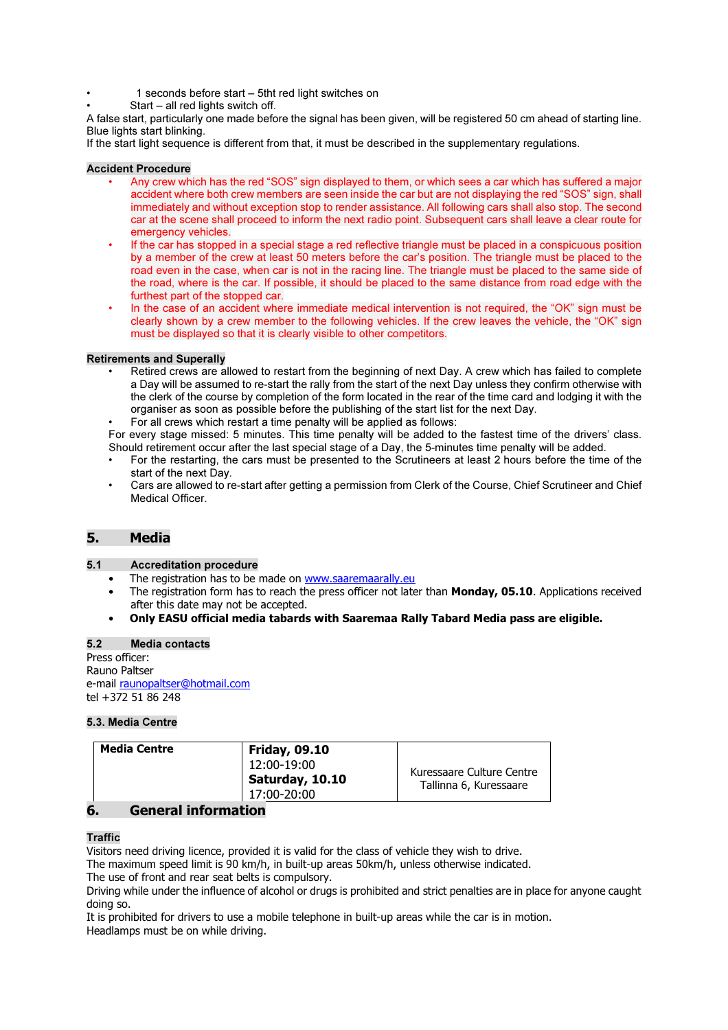- 1 seconds before start 5tht red light switches on
- $Start all red lights switch off.$

A false start, particularly one made before the signal has been given, will be registered 50 cm ahead of starting line. Blue lights start blinking.

If the start light sequence is different from that, it must be described in the supplementary regulations.

## Accident Procedure

- Any crew which has the red "SOS" sign displayed to them, or which sees a car which has suffered a major accident where both crew members are seen inside the car but are not displaying the red "SOS" sign, shall immediately and without exception stop to render assistance. All following cars shall also stop. The second car at the scene shall proceed to inform the next radio point. Subsequent cars shall leave a clear route for emergency vehicles.
- If the car has stopped in a special stage a red reflective triangle must be placed in a conspicuous position by a member of the crew at least 50 meters before the car's position. The triangle must be placed to the road even in the case, when car is not in the racing line. The triangle must be placed to the same side of the road, where is the car. If possible, it should be placed to the same distance from road edge with the furthest part of the stopped car.
- In the case of an accident where immediate medical intervention is not required, the "OK" sign must be clearly shown by a crew member to the following vehicles. If the crew leaves the vehicle, the "OK" sign must be displayed so that it is clearly visible to other competitors.

### Retirements and Superally

- Retired crews are allowed to restart from the beginning of next Day. A crew which has failed to complete a Day will be assumed to re-start the rally from the start of the next Day unless they confirm otherwise with the clerk of the course by completion of the form located in the rear of the time card and lodging it with the organiser as soon as possible before the publishing of the start list for the next Day.
- For all crews which restart a time penalty will be applied as follows:

For every stage missed: 5 minutes. This time penalty will be added to the fastest time of the drivers' class. Should retirement occur after the last special stage of a Day, the 5-minutes time penalty will be added.

- For the restarting, the cars must be presented to the Scrutineers at least 2 hours before the time of the start of the next Day.
- Cars are allowed to re-start after getting a permission from Clerk of the Course, Chief Scrutineer and Chief Medical Officer.

## 5. Media

### 5.1 Accreditation procedure

- The registration has to be made on www.saaremaarally.eu
- The registration form has to reach the press officer not later than **Monday, 05.10.** Applications received after this date may not be accepted.
- Only EASU official media tabards with Saaremaa Rally Tabard Media pass are eligible.

#### 5.2 Media contacts

Press officer: Rauno Paltser e-mail raunopaltser@hotmail.com tel +372 51 86 248

### 5.3. Media Centre

| <b>Media Centre</b> | <b>Friday, 09.10</b><br>12:00-19:00 | Kuressaare Culture Centre |
|---------------------|-------------------------------------|---------------------------|
|                     | Saturday, 10.10<br>17:00-20:00      | Tallinna 6, Kuressaare    |

## 6. General information

### **Traffic**

Visitors need driving licence, provided it is valid for the class of vehicle they wish to drive.

The maximum speed limit is 90 km/h, in built-up areas 50km/h, unless otherwise indicated.

The use of front and rear seat belts is compulsory.

Driving while under the influence of alcohol or drugs is prohibited and strict penalties are in place for anyone caught doing so.

It is prohibited for drivers to use a mobile telephone in built-up areas while the car is in motion. Headlamps must be on while driving.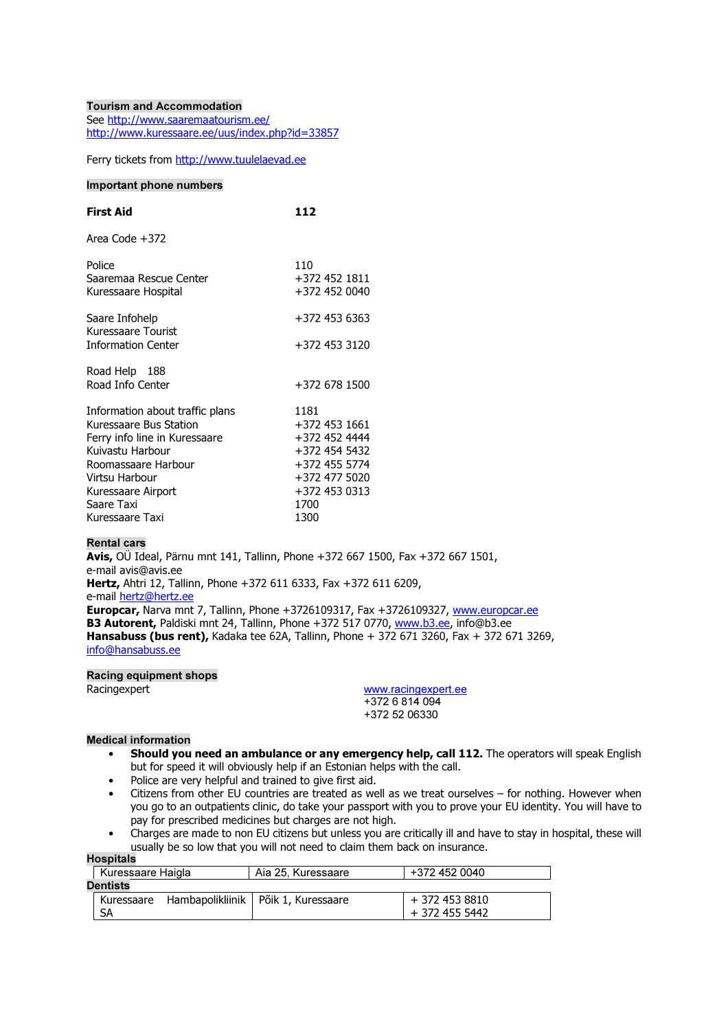#### Tourism and Accommodation See http://www.saaremaatourism.ee/ http://www.kuressaare.ee/uus/index.php?id=33857

Ferry tickets from http://www.tuulelaevad.ee

### Important phone numbers

| <b>First Aid</b>                                                                                                                                                                            | 112                                                                                                                |
|---------------------------------------------------------------------------------------------------------------------------------------------------------------------------------------------|--------------------------------------------------------------------------------------------------------------------|
| Area Code +372                                                                                                                                                                              |                                                                                                                    |
| Police<br>Saaremaa Rescue Center<br>Kuressaare Hospital                                                                                                                                     | 110<br>+372 452 1811<br>+372 452 0040                                                                              |
| Saare Infohelp<br>Kuressaare Tourist<br><b>Information Center</b>                                                                                                                           | +372 453 6363<br>+372 453 3120                                                                                     |
| Road Help 188<br>Road Info Center                                                                                                                                                           | +372 678 1500                                                                                                      |
| Information about traffic plans<br>Kuressaare Bus Station<br>Ferry info line in Kuressaare<br>Kuivastu Harbour<br>Roomassaare Harbour<br>Virtsu Harbour<br>Kuressaare Airport<br>Saare Taxi | 1181<br>+372 453 1661<br>+372 452 4444<br>+372 454 5432<br>+372 455 5774<br>+372 477 5020<br>+372 453 0313<br>1700 |
| Kuressaare Taxi                                                                                                                                                                             | 1300                                                                                                               |

## Rental cars

Avis, OÜ Ideal, Pärnu mnt 141, Tallinn, Phone +372 667 1500, Fax +372 667 1501, e-mail avis@avis.ee Hertz, Ahtri 12, Tallinn, Phone +372 611 6333, Fax +372 611 6209, e-mail hertz@hertz.ee Europcar, Narva mnt 7, Tallinn, Phone +3726109317, Fax +3726109327, www.europcar.ee B3 Autorent, Paldiski mnt 24, Tallinn, Phone +372 517 0770, www.b3.ee, info@b3.ee **Hansabuss (bus rent),** Kadaka tee 62A, Tallinn, Phone + 372 671 3260, Fax + 372 671 3269, info@hansabuss.ee

Racing equipment shops

Racingexpert **WWW.**racingexpert.ee +372 6 814 094 +372 52 06330

## Medical information

- Should you need an ambulance or any emergency help, call 112. The operators will speak English but for speed it will obviously help if an Estonian helps with the call.
- Police are very helpful and trained to give first aid.
- Citizens from other EU countries are treated as well as we treat ourselves for nothing. However when you go to an outpatients clinic, do take your passport with you to prove your EU identity. You will have to pay for prescribed medicines but charges are not high.
- Charges are made to non EU citizens but unless you are critically ill and have to stay in hospital, these will usually be so low that you will not need to claim them back on insurance.

|          | <b>Hospitals</b>  |  |                                       |                |  |  |  |  |  |  |
|----------|-------------------|--|---------------------------------------|----------------|--|--|--|--|--|--|
|          | Kuressaare Haigla |  | Aia 25. Kuressaare                    | +372 452 0040  |  |  |  |  |  |  |
| Dentists |                   |  |                                       |                |  |  |  |  |  |  |
|          | Kuressaare        |  | Hambapolikliinik   Põik 1, Kuressaare | + 372 453 8810 |  |  |  |  |  |  |
|          | SΑ                |  |                                       | + 372 455 5442 |  |  |  |  |  |  |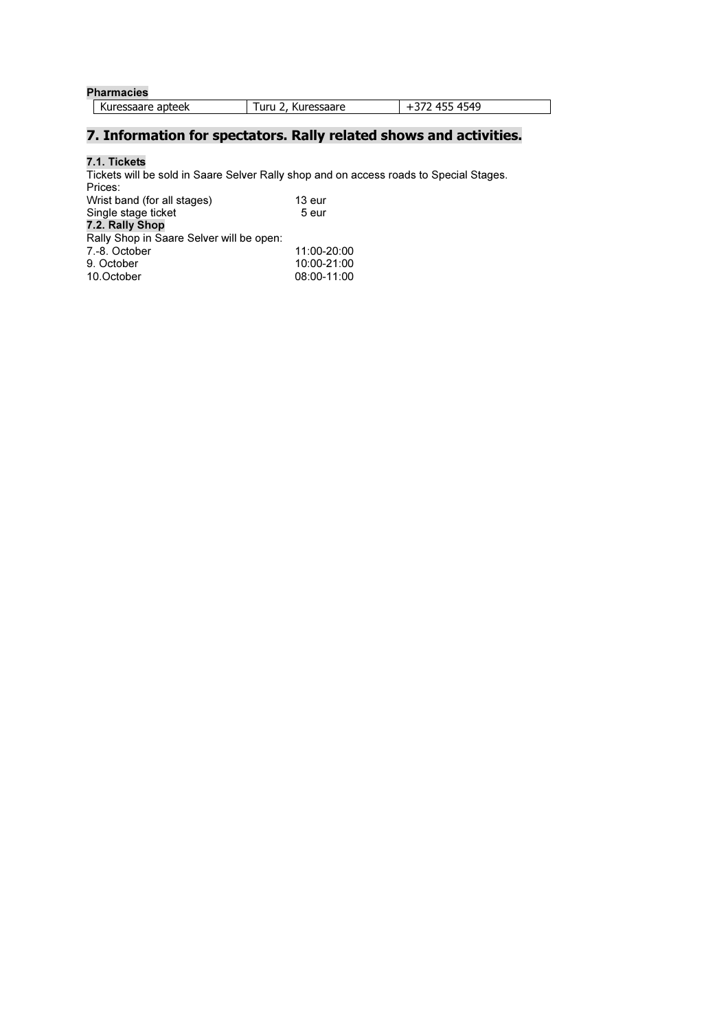| <b>Pharmacies</b> |                          |             |  |  |  |  |  |  |
|-------------------|--------------------------|-------------|--|--|--|--|--|--|
| Kuressaare apteek | Turu $2.1$<br>Kuressaare | 72 455 4549 |  |  |  |  |  |  |

## 7. Information for spectators. Rally related shows and activities.

## 7.1. Tickets

Tickets will be sold in Saare Selver Rally shop and on access roads to Special Stages. Prices: Wrist band (for all stages) 13 eur<br>Single stage ticket 5 eur Single stage ticket 5 eur 7.2. Rally Shop Rally Shop in Saare Selver will be open: 7.-8. October 11:00-20:00<br>
9. October 10:00-21:00 9. October 10:00-21:00 08:00-11:00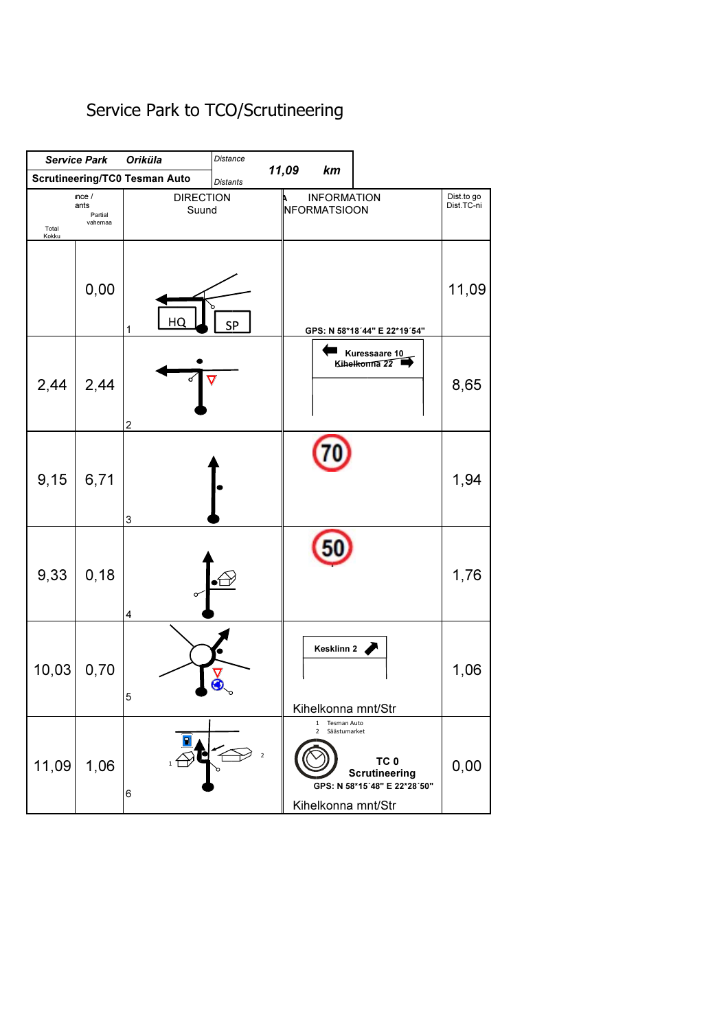## Service Park to TCO/Scrutineering

|                | <b>Service Park</b>                | <b>Oriküla</b>                       | <b>Distance</b> |            |                                                                                     |                                                                         |                          |
|----------------|------------------------------------|--------------------------------------|-----------------|------------|-------------------------------------------------------------------------------------|-------------------------------------------------------------------------|--------------------------|
|                |                                    | <b>Scrutineering/TC0 Tesman Auto</b> | <b>Distants</b> | 11,09      | km                                                                                  |                                                                         |                          |
| Total<br>Kokku | nce/<br>ants<br>Partial<br>vahemaa | <b>DIRECTION</b><br>Suund            |                 |            | <b>INFORMATION</b><br><b>NFORMATSIOON</b>                                           |                                                                         | Dist.to go<br>Dist.TC-ni |
|                | 0,00                               | HC<br>1                              | <b>SP</b>       |            |                                                                                     | GPS: N 58*18'44" E 22*19'54"                                            | 11,09                    |
| 2,44           | 2,44                               | $\overline{c}$                       | ⊽               |            |                                                                                     | Kuressaare 10<br>Kihelkonna 22                                          | 8,65                     |
| 9,15           | 6,71                               | 3                                    |                 |            |                                                                                     |                                                                         | 1,94                     |
| 9,33           | 0, 18                              | Ο<br>4                               |                 |            |                                                                                     |                                                                         | 1,76                     |
| 10,03          | 0,70                               | 5                                    |                 |            | Kesklinn 2<br>Kihelkonna mnt/Str                                                    |                                                                         | 1,06                     |
| 11,09          | 1,06                               | 6                                    |                 | $\sqrt{2}$ | $\mathbf{1}$<br>Tesman Auto<br>Säästumarket<br>$\overline{2}$<br>Kihelkonna mnt/Str | TC <sub>0</sub><br><b>Scrutineering</b><br>GPS: N 58*15'48" E 22*28'50" | 0,00                     |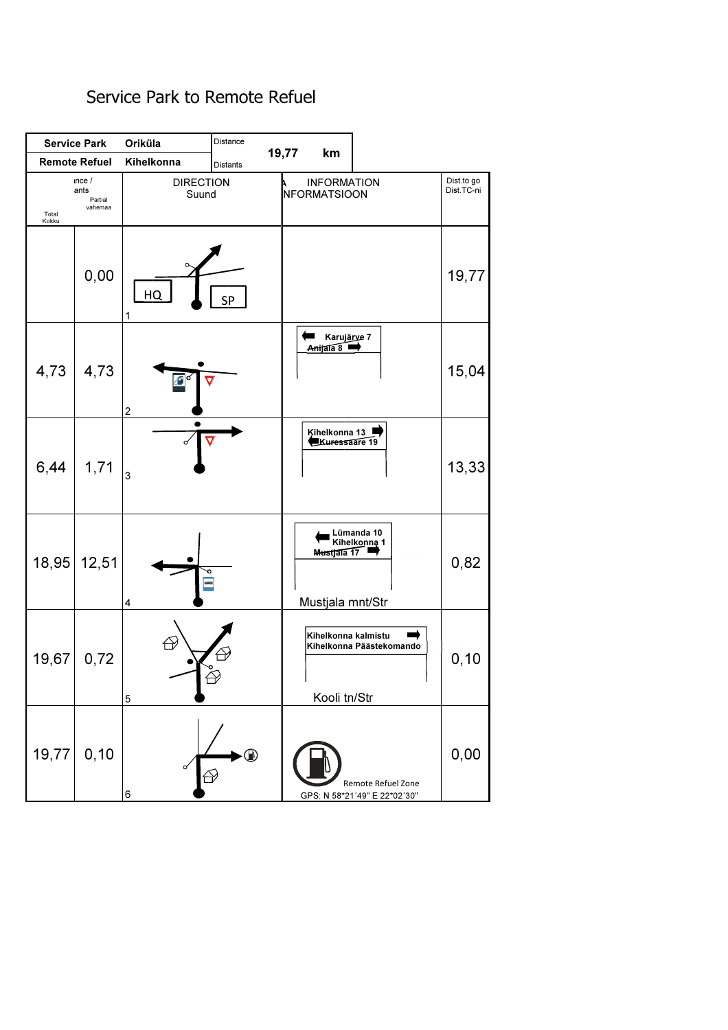## Service Park Oriküla Distance 19,77 km Remote Refuel Kihelkonna | Distants DIRECTION **INFORMATION** nce /<br>ants Dist.to go Dist.TC-ni NFORMATSIOON Suund Partial vahemaa Total Kokku 0,00 19,77 HQ 1  $\blacksquare$ Karujärve 7 <u>A<del>nij</del>ala 8</u> 4,73 4,73 15,04 2 Kihelkonna 13 Kuressaare 19 6,44 1,71 13,33 3 Lümanda 10 Kihelk<u>onna</u> 1 M<del>us</del>tjala 17 18,95 12,51 0,82  $\blacksquare$ 4 ● ● ● ● ● ● ● ● ■ ■ Mustjala mnt/Str Kihelkonna kalmistu  $\rightarrow$ Kihelkonna Päästekomando19,67 0,72 0,10 5 ● Brooti tn/Str 19,77 0,10 0,00  $\bigoplus$  Remote Refuel Zone 6 GPS: N 58\*21´49" E 22\*02´30"

## Service Park to Remote Refuel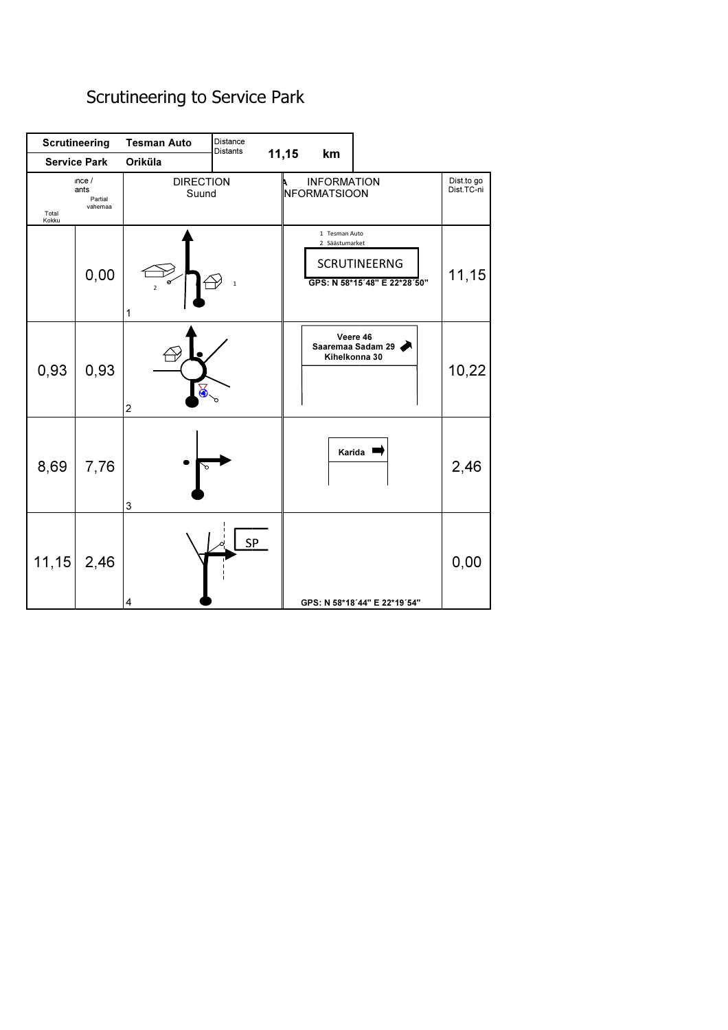## Scrutineering to Service Park

|                | <b>Scrutineering</b>               | <b>Tesman Auto</b>        | Distance<br><b>Distants</b> |       |                                    |                                                     |                          |
|----------------|------------------------------------|---------------------------|-----------------------------|-------|------------------------------------|-----------------------------------------------------|--------------------------|
|                | <b>Service Park</b>                | Oriküla                   |                             | 11,15 | km                                 |                                                     |                          |
| Total<br>Kokku | nce/<br>ants<br>Partial<br>vahemaa | <b>DIRECTION</b><br>Suund |                             |       | <b>INFORMATION</b><br>NFORMATSIOON |                                                     | Dist.to go<br>Dist.TC-ni |
|                | 0,00                               | $\overline{2}$<br>1       | $\mathbf 1$                 |       | 1 Tesman Auto<br>2 Säästumarket    | <b>SCRUTINEERNG</b><br>GPS: N 58*15'48" E 22*28'50" | 11,15                    |
| 0,93           | 0,93                               | 5.<br>$\overline{c}$      |                             |       |                                    | Veere 46<br>Saaremaa Sadam 29<br>Kihelkonna 30      | 10,22                    |
| 8,69           | 7,76                               | 3                         |                             |       | Karida                             |                                                     | 2,46                     |
| 11, 15         | 2,46                               | 4                         | SP                          |       |                                    | GPS: N 58*18'44" E 22*19'54"                        | 0,00                     |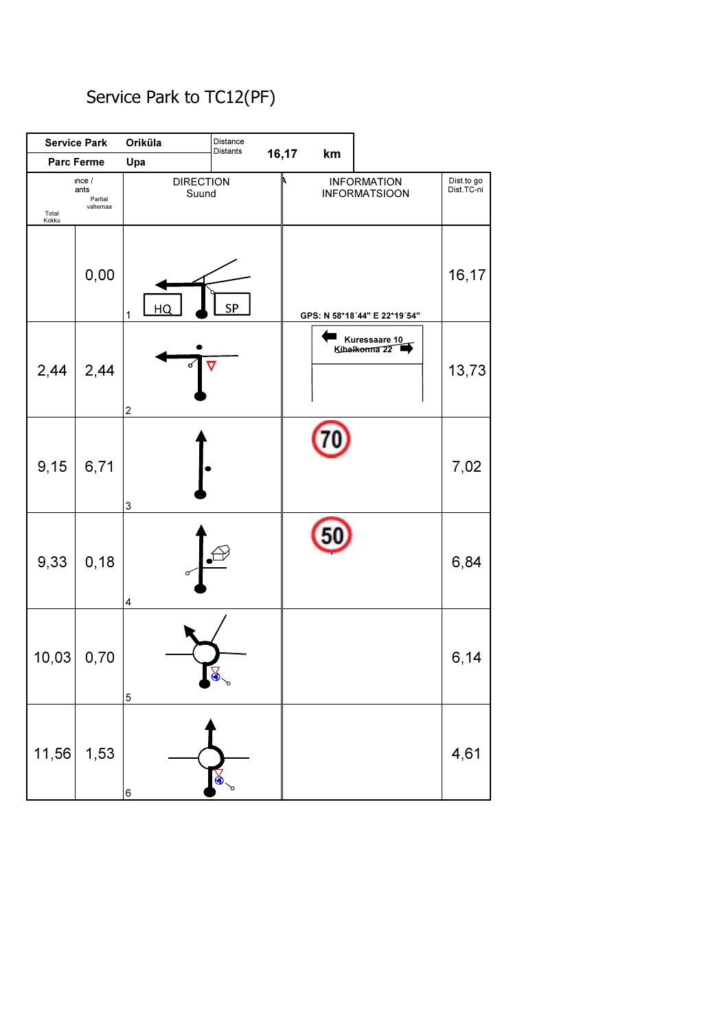## Service Park to TC12(PF)

|                | <b>Service Park</b>                | Oriküla                   | Distance<br>Distants |       |    |                                              |                          |
|----------------|------------------------------------|---------------------------|----------------------|-------|----|----------------------------------------------|--------------------------|
|                | <b>Parc Ferme</b>                  | Upa                       |                      | 16,17 | km |                                              |                          |
| Total<br>Kokku | nce/<br>ants<br>Partial<br>vahemaa | <b>DIRECTION</b><br>Suund |                      |       |    | <b>INFORMATION</b><br><b>INFORMATSIOON</b>   | Dist.to go<br>Dist.TC-ni |
|                | 0,00                               | HQ<br>$\mathbf{1}$        | SP                   |       |    | GPS: N 58*18'44" E 22*19'54"                 | 16,17                    |
| 2,44           | 2,44                               | ර<br>$\boldsymbol{2}$     | $\overline{\nabla}$  |       |    | ■ Kuressaare 10<br>Kihel <del>konna 22</del> | 13,73                    |
| 9,15           | 6,71                               | $\ensuremath{\mathsf{3}}$ |                      |       |    |                                              | 7,02                     |
| 9,33           | 0, 18                              | 4                         |                      |       |    |                                              | 6,84                     |
| 10,03          | 0,70                               | $\mathbf 5$               | $\lessapprox$<br>p   |       |    |                                              | 6,14                     |
| 11,56          | 1,53                               | 6                         | $\infty$             |       |    |                                              | 4,61                     |